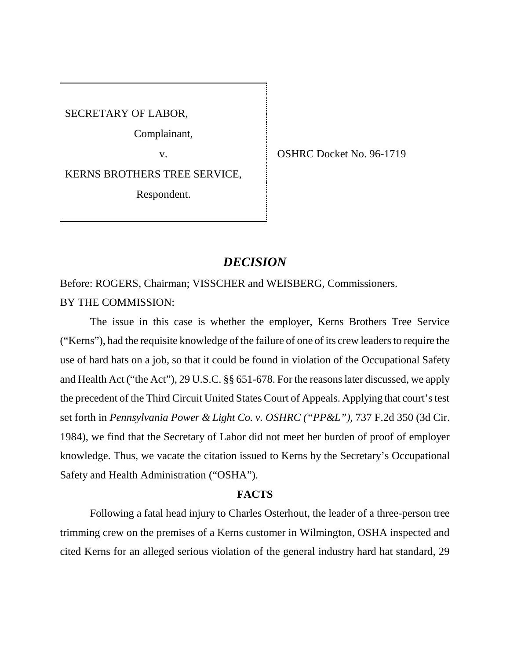SECRETARY OF LABOR,

Complainant,

KERNS BROTHERS TREE SERVICE,

Respondent.

v. CSHRC Docket No. 96-1719

# *DECISION*

Before: ROGERS, Chairman; VISSCHER and WEISBERG, Commissioners. BY THE COMMISSION:

The issue in this case is whether the employer, Kerns Brothers Tree Service ("Kerns"), had the requisite knowledge of the failure of one of its crew leaders to require the use of hard hats on a job, so that it could be found in violation of the Occupational Safety and Health Act ("the Act"), 29 U.S.C. §§ 651-678. For the reasons later discussed, we apply the precedent of the Third Circuit United States Court of Appeals. Applying that court's test set forth in *Pennsylvania Power & Light Co. v. OSHRC ("PP&L")*, 737 F.2d 350 (3d Cir. 1984), we find that the Secretary of Labor did not meet her burden of proof of employer knowledge. Thus, we vacate the citation issued to Kerns by the Secretary's Occupational Safety and Health Administration ("OSHA").

# **FACTS**

Following a fatal head injury to Charles Osterhout, the leader of a three-person tree trimming crew on the premises of a Kerns customer in Wilmington, OSHA inspected and cited Kerns for an alleged serious violation of the general industry hard hat standard, 29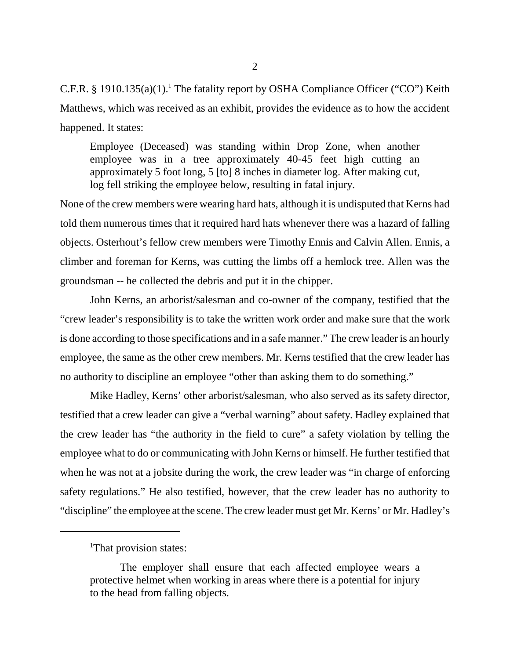C.F.R. § 1910.135(a)(1).<sup>1</sup> The fatality report by OSHA Compliance Officer ("CO") Keith Matthews, which was received as an exhibit, provides the evidence as to how the accident happened. It states:

Employee (Deceased) was standing within Drop Zone, when another employee was in a tree approximately 40-45 feet high cutting an approximately 5 foot long, 5 [to] 8 inches in diameter log. After making cut, log fell striking the employee below, resulting in fatal injury.

None of the crew members were wearing hard hats, although it is undisputed that Kerns had told them numerous times that it required hard hats whenever there was a hazard of falling objects. Osterhout's fellow crew members were Timothy Ennis and Calvin Allen. Ennis, a climber and foreman for Kerns, was cutting the limbs off a hemlock tree. Allen was the groundsman -- he collected the debris and put it in the chipper.

John Kerns, an arborist/salesman and co-owner of the company, testified that the "crew leader's responsibility is to take the written work order and make sure that the work is done according to those specifications and in a safe manner." The crew leader is an hourly employee, the same as the other crew members. Mr. Kerns testified that the crew leader has no authority to discipline an employee "other than asking them to do something."

Mike Hadley, Kerns' other arborist/salesman, who also served as its safety director, testified that a crew leader can give a "verbal warning" about safety. Hadley explained that the crew leader has "the authority in the field to cure" a safety violation by telling the employee what to do or communicating with John Kerns or himself. He further testified that when he was not at a jobsite during the work, the crew leader was "in charge of enforcing safety regulations." He also testified, however, that the crew leader has no authority to "discipline" the employee at the scene. The crew leader must get Mr. Kerns' or Mr. Hadley's

<sup>&</sup>lt;sup>1</sup>That provision states:

The employer shall ensure that each affected employee wears a protective helmet when working in areas where there is a potential for injury to the head from falling objects.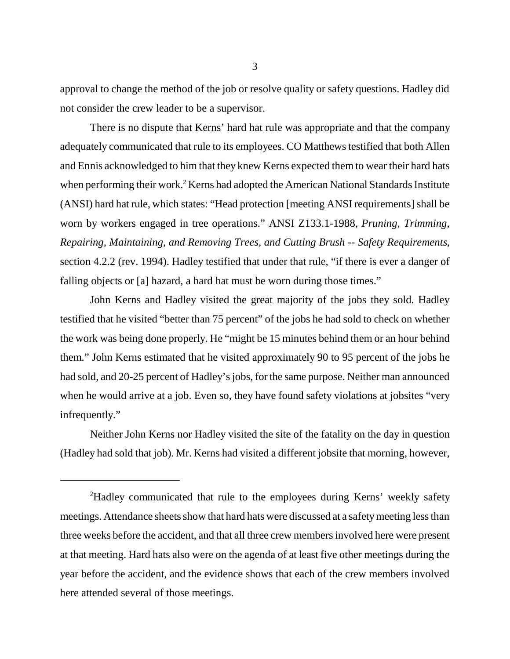approval to change the method of the job or resolve quality or safety questions. Hadley did not consider the crew leader to be a supervisor.

There is no dispute that Kerns' hard hat rule was appropriate and that the company adequately communicated that rule to its employees. CO Matthews testified that both Allen and Ennis acknowledged to him that they knew Kerns expected them to wear their hard hats when performing their work.<sup>2</sup> Kerns had adopted the American National Standards Institute (ANSI) hard hat rule, which states: "Head protection [meeting ANSI requirements] shall be worn by workers engaged in tree operations." ANSI Z133.1-1988, *Pruning, Trimming, Repairing, Maintaining, and Removing Trees, and Cutting Brush -- Safety Requirements*, section 4.2.2 (rev. 1994). Hadley testified that under that rule, "if there is ever a danger of falling objects or [a] hazard, a hard hat must be worn during those times."

John Kerns and Hadley visited the great majority of the jobs they sold. Hadley testified that he visited "better than 75 percent" of the jobs he had sold to check on whether the work was being done properly. He "might be 15 minutes behind them or an hour behind them." John Kerns estimated that he visited approximately 90 to 95 percent of the jobs he had sold, and 20-25 percent of Hadley's jobs, for the same purpose. Neither man announced when he would arrive at a job. Even so, they have found safety violations at jobsites "very infrequently."

Neither John Kerns nor Hadley visited the site of the fatality on the day in question (Hadley had sold that job). Mr. Kerns had visited a different jobsite that morning, however,

<sup>&</sup>lt;sup>2</sup>Hadley communicated that rule to the employees during Kerns' weekly safety meetings. Attendance sheets show that hard hats were discussed at a safety meeting less than three weeks before the accident, and that all three crew members involved here were present at that meeting. Hard hats also were on the agenda of at least five other meetings during the year before the accident, and the evidence shows that each of the crew members involved here attended several of those meetings.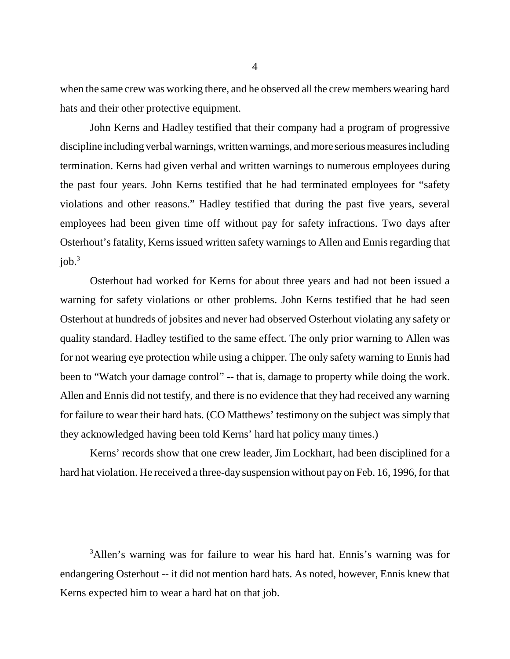when the same crew was working there, and he observed all the crew members wearing hard hats and their other protective equipment.

John Kerns and Hadley testified that their company had a program of progressive discipline including verbal warnings, written warnings, and more serious measures including termination. Kerns had given verbal and written warnings to numerous employees during the past four years. John Kerns testified that he had terminated employees for "safety violations and other reasons." Hadley testified that during the past five years, several employees had been given time off without pay for safety infractions. Two days after Osterhout's fatality, Kerns issued written safety warnings to Allen and Ennis regarding that  $i$ ob. $3$ 

Osterhout had worked for Kerns for about three years and had not been issued a warning for safety violations or other problems. John Kerns testified that he had seen Osterhout at hundreds of jobsites and never had observed Osterhout violating any safety or quality standard. Hadley testified to the same effect. The only prior warning to Allen was for not wearing eye protection while using a chipper. The only safety warning to Ennis had been to "Watch your damage control" -- that is, damage to property while doing the work. Allen and Ennis did not testify, and there is no evidence that they had received any warning for failure to wear their hard hats. (CO Matthews' testimony on the subject was simply that they acknowledged having been told Kerns' hard hat policy many times.)

Kerns' records show that one crew leader, Jim Lockhart, had been disciplined for a hard hat violation. He received a three-day suspension without pay on Feb. 16, 1996, for that

<sup>&</sup>lt;sup>3</sup>Allen's warning was for failure to wear his hard hat. Ennis's warning was for endangering Osterhout -- it did not mention hard hats. As noted, however, Ennis knew that Kerns expected him to wear a hard hat on that job.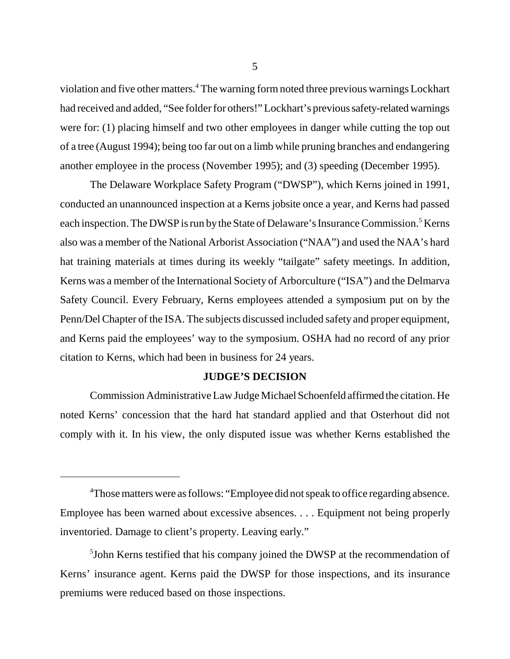violation and five other matters.<sup>4</sup> The warning form noted three previous warnings Lockhart had received and added, "See folder for others!" Lockhart's previous safety-related warnings were for: (1) placing himself and two other employees in danger while cutting the top out of a tree (August 1994); being too far out on a limb while pruning branches and endangering another employee in the process (November 1995); and (3) speeding (December 1995).

The Delaware Workplace Safety Program ("DWSP"), which Kerns joined in 1991, conducted an unannounced inspection at a Kerns jobsite once a year, and Kerns had passed each inspection. The DWSP is run by the State of Delaware's Insurance Commission.<sup>5</sup> Kerns also was a member of the National Arborist Association ("NAA") and used the NAA's hard hat training materials at times during its weekly "tailgate" safety meetings. In addition, Kerns was a member of the International Society of Arborculture ("ISA") and the Delmarva Safety Council. Every February, Kerns employees attended a symposium put on by the Penn/Del Chapter of the ISA. The subjects discussed included safety and proper equipment, and Kerns paid the employees' way to the symposium. OSHA had no record of any prior citation to Kerns, which had been in business for 24 years.

### **JUDGE'S DECISION**

Commission Administrative Law Judge Michael Schoenfeld affirmed the citation. He noted Kerns' concession that the hard hat standard applied and that Osterhout did not comply with it. In his view, the only disputed issue was whether Kerns established the

<sup>&</sup>lt;sup>4</sup>Those matters were as follows: "Employee did not speak to office regarding absence. Employee has been warned about excessive absences. . . . Equipment not being properly inventoried. Damage to client's property. Leaving early."

<sup>&</sup>lt;sup>5</sup>John Kerns testified that his company joined the DWSP at the recommendation of Kerns' insurance agent. Kerns paid the DWSP for those inspections, and its insurance premiums were reduced based on those inspections.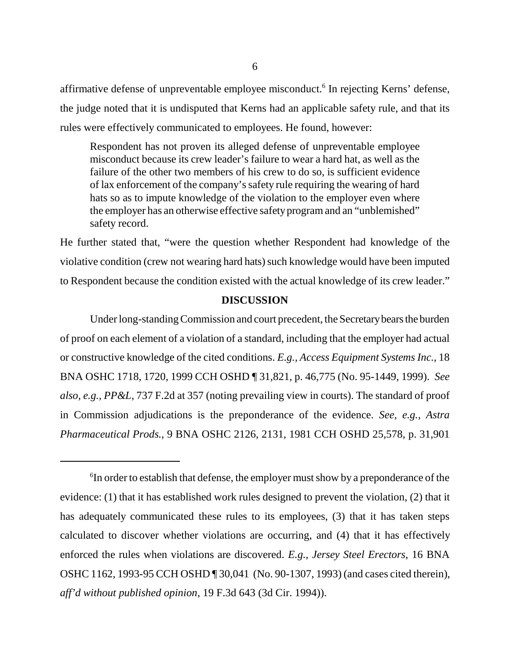affirmative defense of unpreventable employee misconduct.<sup>6</sup> In rejecting Kerns' defense, the judge noted that it is undisputed that Kerns had an applicable safety rule, and that its rules were effectively communicated to employees. He found, however:

Respondent has not proven its alleged defense of unpreventable employee misconduct because its crew leader's failure to wear a hard hat, as well as the failure of the other two members of his crew to do so, is sufficient evidence of lax enforcement of the company's safety rule requiring the wearing of hard hats so as to impute knowledge of the violation to the employer even where the employer has an otherwise effective safety program and an "unblemished" safety record.

He further stated that, "were the question whether Respondent had knowledge of the violative condition (crew not wearing hard hats) such knowledge would have been imputed to Respondent because the condition existed with the actual knowledge of its crew leader."

### **DISCUSSION**

Under long-standing Commission and court precedent, the Secretary bears the burden of proof on each element of a violation of a standard, including that the employer had actual or constructive knowledge of the cited conditions. *E.g., Access Equipment Systems Inc.*, 18 BNA OSHC 1718, 1720, 1999 CCH OSHD ¶ 31,821, p. 46,775 (No. 95-1449, 1999). *See also, e.g., PP&L*, 737 F.2d at 357 (noting prevailing view in courts). The standard of proof in Commission adjudications is the preponderance of the evidence. *See, e.g., Astra Pharmaceutical Prods.*, 9 BNA OSHC 2126, 2131, 1981 CCH OSHD 25,578, p. 31,901

 ${}^6$ In order to establish that defense, the employer must show by a preponderance of the evidence: (1) that it has established work rules designed to prevent the violation, (2) that it has adequately communicated these rules to its employees, (3) that it has taken steps calculated to discover whether violations are occurring, and (4) that it has effectively enforced the rules when violations are discovered. *E.g., Jersey Steel Erectors*, 16 BNA OSHC 1162, 1993-95 CCH OSHD ¶ 30,041 (No. 90-1307, 1993) (and cases cited therein), *aff'd without published opinion*, 19 F.3d 643 (3d Cir. 1994)).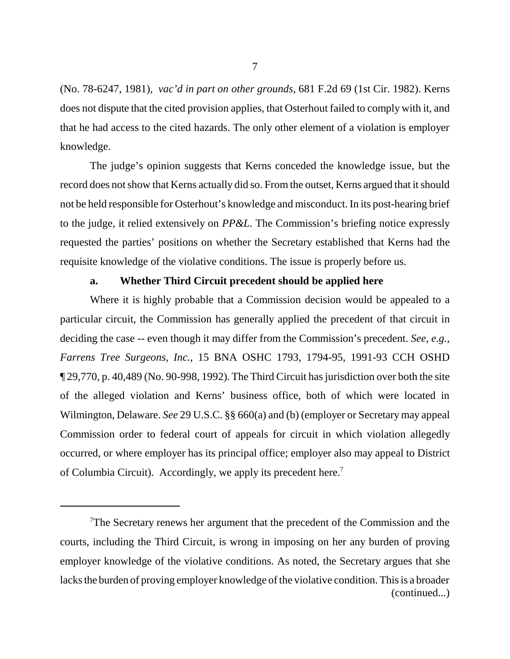(No. 78-6247, 1981), *vac'd in part on other grounds*, 681 F.2d 69 (1st Cir. 1982). Kerns does not dispute that the cited provision applies, that Osterhout failed to comply with it, and that he had access to the cited hazards. The only other element of a violation is employer knowledge.

The judge's opinion suggests that Kerns conceded the knowledge issue, but the record does not show that Kerns actually did so. From the outset, Kerns argued that it should not be held responsible for Osterhout's knowledge and misconduct. In its post-hearing brief to the judge, it relied extensively on *PP&L*. The Commission's briefing notice expressly requested the parties' positions on whether the Secretary established that Kerns had the requisite knowledge of the violative conditions. The issue is properly before us.

# **a. Whether Third Circuit precedent should be applied here**

Where it is highly probable that a Commission decision would be appealed to a particular circuit, the Commission has generally applied the precedent of that circuit in deciding the case -- even though it may differ from the Commission's precedent. *See, e.g., Farrens Tree Surgeons, Inc.*, 15 BNA OSHC 1793, 1794-95, 1991-93 CCH OSHD ¶ 29,770, p. 40,489 (No. 90-998, 1992). The Third Circuit has jurisdiction over both the site of the alleged violation and Kerns' business office, both of which were located in Wilmington, Delaware. *See* 29 U.S.C. §§ 660(a) and (b) (employer or Secretary may appeal Commission order to federal court of appeals for circuit in which violation allegedly occurred, or where employer has its principal office; employer also may appeal to District of Columbia Circuit). Accordingly, we apply its precedent here.<sup>7</sup>

<sup>&</sup>lt;sup>7</sup>The Secretary renews her argument that the precedent of the Commission and the courts, including the Third Circuit, is wrong in imposing on her any burden of proving employer knowledge of the violative conditions. As noted, the Secretary argues that she lacks the burden of proving employer knowledge of the violative condition. This is a broader (continued...)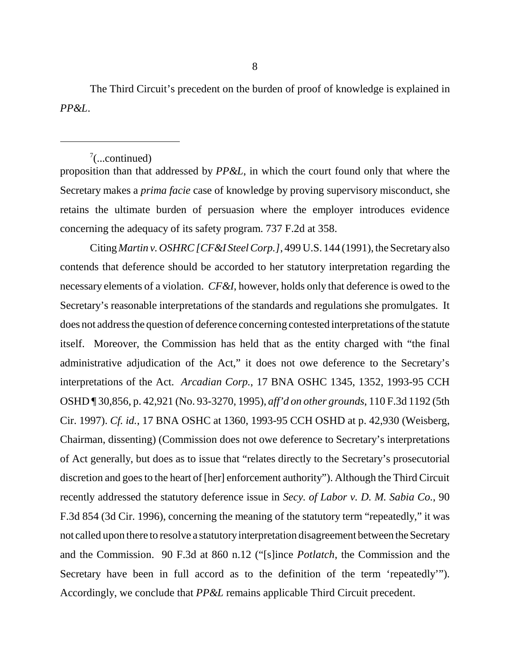The Third Circuit's precedent on the burden of proof of knowledge is explained in *PP&L*.

# $7$ (...continued)

proposition than that addressed by *PP&L*, in which the court found only that where the Secretary makes a *prima facie* case of knowledge by proving supervisory misconduct, she retains the ultimate burden of persuasion where the employer introduces evidence concerning the adequacy of its safety program. 737 F.2d at 358.

Citing *Martin v. OSHRC [CF&I Steel Corp.]*, 499 U.S. 144 (1991), the Secretary also contends that deference should be accorded to her statutory interpretation regarding the necessary elements of a violation. *CF&I*, however, holds only that deference is owed to the Secretary's reasonable interpretations of the standards and regulations she promulgates. It does not address the question of deference concerning contested interpretations of the statute itself. Moreover, the Commission has held that as the entity charged with "the final administrative adjudication of the Act," it does not owe deference to the Secretary's interpretations of the Act. *Arcadian Corp.*, 17 BNA OSHC 1345, 1352, 1993-95 CCH OSHD ¶ 30,856, p. 42,921 (No. 93-3270, 1995), *aff'd on other grounds*, 110 F.3d 1192 (5th Cir. 1997). *Cf. id.*, 17 BNA OSHC at 1360, 1993-95 CCH OSHD at p. 42,930 (Weisberg, Chairman, dissenting) (Commission does not owe deference to Secretary's interpretations of Act generally, but does as to issue that "relates directly to the Secretary's prosecutorial discretion and goes to the heart of [her] enforcement authority"). Although the Third Circuit recently addressed the statutory deference issue in *Secy. of Labor v. D. M. Sabia Co.*, 90 F.3d 854 (3d Cir. 1996), concerning the meaning of the statutory term "repeatedly," it was not called upon there to resolve a statutory interpretation disagreement between the Secretary and the Commission. 90 F.3d at 860 n.12 ("[s]ince *Potlatch*, the Commission and the Secretary have been in full accord as to the definition of the term 'repeatedly'"). Accordingly, we conclude that *PP&L* remains applicable Third Circuit precedent.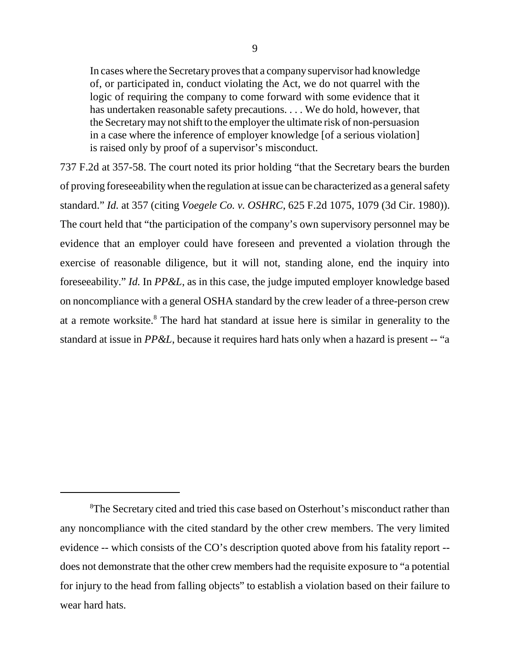In cases where the Secretary proves that a company supervisor had knowledge of, or participated in, conduct violating the Act, we do not quarrel with the logic of requiring the company to come forward with some evidence that it has undertaken reasonable safety precautions. . . . We do hold, however, that the Secretary may not shift to the employer the ultimate risk of non-persuasion in a case where the inference of employer knowledge [of a serious violation] is raised only by proof of a supervisor's misconduct.

737 F.2d at 357-58. The court noted its prior holding "that the Secretary bears the burden of proving foreseeability when the regulation at issue can be characterized as a general safety standard." *Id.* at 357 (citing *Voegele Co. v. OSHRC*, 625 F.2d 1075, 1079 (3d Cir. 1980)). The court held that "the participation of the company's own supervisory personnel may be evidence that an employer could have foreseen and prevented a violation through the exercise of reasonable diligence, but it will not, standing alone, end the inquiry into foreseeability." *Id.* In *PP&L*, as in this case, the judge imputed employer knowledge based on noncompliance with a general OSHA standard by the crew leader of a three-person crew at a remote worksite.<sup>8</sup> The hard hat standard at issue here is similar in generality to the standard at issue in *PP&L*, because it requires hard hats only when a hazard is present -- "a

<sup>&</sup>lt;sup>8</sup>The Secretary cited and tried this case based on Osterhout's misconduct rather than any noncompliance with the cited standard by the other crew members. The very limited evidence -- which consists of the CO's description quoted above from his fatality report - does not demonstrate that the other crew members had the requisite exposure to "a potential for injury to the head from falling objects" to establish a violation based on their failure to wear hard hats.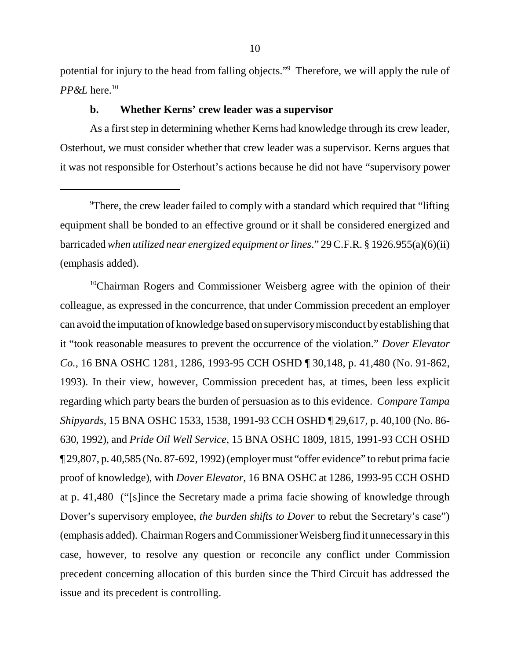potential for injury to the head from falling objects."<sup>9</sup> Therefore, we will apply the rule of *PP&L* here.10

### **b. Whether Kerns' crew leader was a supervisor**

As a first step in determining whether Kerns had knowledge through its crew leader, Osterhout, we must consider whether that crew leader was a supervisor. Kerns argues that it was not responsible for Osterhout's actions because he did not have "supervisory power

<sup>10</sup>Chairman Rogers and Commissioner Weisberg agree with the opinion of their colleague, as expressed in the concurrence, that under Commission precedent an employer can avoid the imputation of knowledge based on supervisory misconduct by establishing that it "took reasonable measures to prevent the occurrence of the violation." *Dover Elevator Co.*, 16 BNA OSHC 1281, 1286, 1993-95 CCH OSHD ¶ 30,148, p. 41,480 (No. 91-862, 1993). In their view, however, Commission precedent has, at times, been less explicit regarding which party bears the burden of persuasion as to this evidence. *Compare Tampa Shipyards,* 15 BNA OSHC 1533, 1538, 1991-93 CCH OSHD ¶ 29,617, p. 40,100 (No. 86- 630, 1992), and *Pride Oil Well Service*, 15 BNA OSHC 1809, 1815, 1991-93 CCH OSHD ¶ 29,807, p. 40,585 (No. 87-692, 1992) (employer must "offer evidence" to rebut prima facie proof of knowledge), with *Dover Elevator*, 16 BNA OSHC at 1286, 1993-95 CCH OSHD at p. 41,480 ("[s]ince the Secretary made a prima facie showing of knowledge through Dover's supervisory employee, *the burden shifts to Dover* to rebut the Secretary's case") (emphasis added). Chairman Rogers and Commissioner Weisberg find it unnecessary in this case, however, to resolve any question or reconcile any conflict under Commission precedent concerning allocation of this burden since the Third Circuit has addressed the issue and its precedent is controlling.

<sup>&</sup>lt;sup>9</sup>There, the crew leader failed to comply with a standard which required that "lifting equipment shall be bonded to an effective ground or it shall be considered energized and barricaded *when utilized near energized equipment or lines*." 29 C.F.R. § 1926.955(a)(6)(ii) (emphasis added).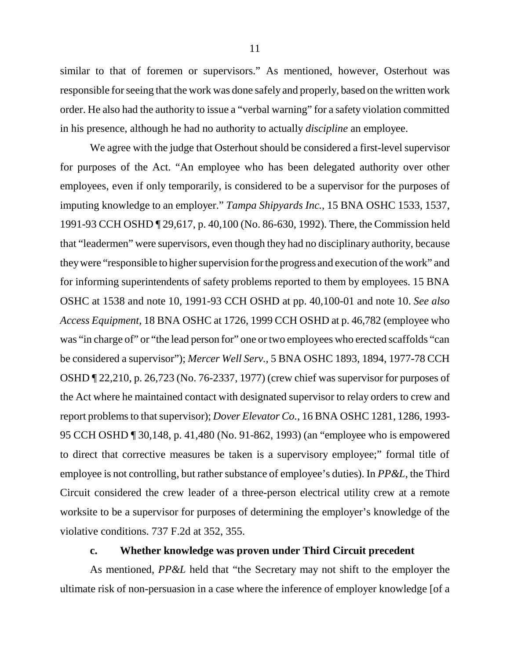similar to that of foremen or supervisors." As mentioned, however, Osterhout was responsible for seeing that the work was done safely and properly, based on the written work order. He also had the authority to issue a "verbal warning" for a safety violation committed in his presence, although he had no authority to actually *discipline* an employee.

We agree with the judge that Osterhout should be considered a first-level supervisor for purposes of the Act. "An employee who has been delegated authority over other employees, even if only temporarily, is considered to be a supervisor for the purposes of imputing knowledge to an employer." *Tampa Shipyards Inc.*, 15 BNA OSHC 1533, 1537, 1991-93 CCH OSHD ¶ 29,617, p. 40,100 (No. 86-630, 1992). There, the Commission held that "leadermen" were supervisors, even though they had no disciplinary authority, because they were "responsible to higher supervision for the progress and execution of the work" and for informing superintendents of safety problems reported to them by employees. 15 BNA OSHC at 1538 and note 10, 1991-93 CCH OSHD at pp. 40,100-01 and note 10. *See also Access Equipment*, 18 BNA OSHC at 1726, 1999 CCH OSHD at p. 46,782 (employee who was "in charge of" or "the lead person for" one or two employees who erected scaffolds "can be considered a supervisor"); *Mercer Well Serv.*, 5 BNA OSHC 1893, 1894, 1977-78 CCH OSHD ¶ 22,210, p. 26,723 (No. 76-2337, 1977) (crew chief was supervisor for purposes of the Act where he maintained contact with designated supervisor to relay orders to crew and report problems to that supervisor); *Dover Elevator Co.*, 16 BNA OSHC 1281, 1286, 1993- 95 CCH OSHD ¶ 30,148, p. 41,480 (No. 91-862, 1993) (an "employee who is empowered to direct that corrective measures be taken is a supervisory employee;" formal title of employee is not controlling, but rather substance of employee's duties). In *PP&L*, the Third Circuit considered the crew leader of a three-person electrical utility crew at a remote worksite to be a supervisor for purposes of determining the employer's knowledge of the violative conditions. 737 F.2d at 352, 355.

# **c. Whether knowledge was proven under Third Circuit precedent**

As mentioned, *PP&L* held that "the Secretary may not shift to the employer the ultimate risk of non-persuasion in a case where the inference of employer knowledge [of a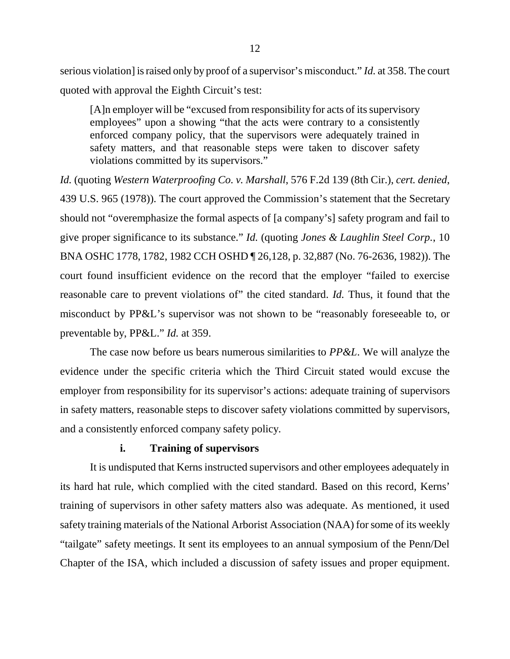serious violation] is raised only by proof of a supervisor's misconduct." *Id.* at 358. The court quoted with approval the Eighth Circuit's test:

[A]n employer will be "excused from responsibility for acts of its supervisory employees" upon a showing "that the acts were contrary to a consistently enforced company policy, that the supervisors were adequately trained in safety matters, and that reasonable steps were taken to discover safety violations committed by its supervisors."

*Id.* (quoting *Western Waterproofing Co. v. Marshall*, 576 F.2d 139 (8th Cir.), *cert. denied*, 439 U.S. 965 (1978)). The court approved the Commission's statement that the Secretary should not "overemphasize the formal aspects of [a company's] safety program and fail to give proper significance to its substance." *Id.* (quoting *Jones & Laughlin Steel Corp.*, 10 BNA OSHC 1778, 1782, 1982 CCH OSHD ¶ 26,128, p. 32,887 (No. 76-2636, 1982)). The court found insufficient evidence on the record that the employer "failed to exercise reasonable care to prevent violations of" the cited standard. *Id.* Thus, it found that the misconduct by PP&L's supervisor was not shown to be "reasonably foreseeable to, or preventable by, PP&L." *Id.* at 359.

The case now before us bears numerous similarities to *PP&L*. We will analyze the evidence under the specific criteria which the Third Circuit stated would excuse the employer from responsibility for its supervisor's actions: adequate training of supervisors in safety matters, reasonable steps to discover safety violations committed by supervisors, and a consistently enforced company safety policy.

# **i. Training of supervisors**

It is undisputed that Kerns instructed supervisors and other employees adequately in its hard hat rule, which complied with the cited standard. Based on this record, Kerns' training of supervisors in other safety matters also was adequate. As mentioned, it used safety training materials of the National Arborist Association (NAA) for some of its weekly "tailgate" safety meetings. It sent its employees to an annual symposium of the Penn/Del Chapter of the ISA, which included a discussion of safety issues and proper equipment.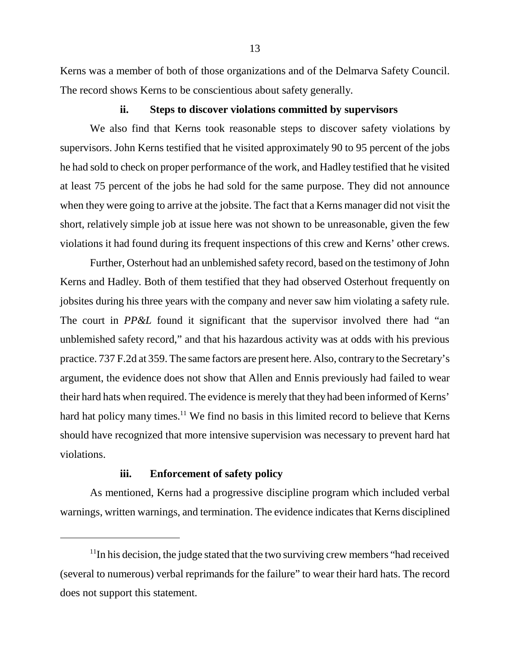Kerns was a member of both of those organizations and of the Delmarva Safety Council. The record shows Kerns to be conscientious about safety generally.

#### **ii. Steps to discover violations committed by supervisors**

We also find that Kerns took reasonable steps to discover safety violations by supervisors. John Kerns testified that he visited approximately 90 to 95 percent of the jobs he had sold to check on proper performance of the work, and Hadley testified that he visited at least 75 percent of the jobs he had sold for the same purpose. They did not announce when they were going to arrive at the jobsite. The fact that a Kerns manager did not visit the short, relatively simple job at issue here was not shown to be unreasonable, given the few violations it had found during its frequent inspections of this crew and Kerns' other crews.

Further, Osterhout had an unblemished safety record, based on the testimony of John Kerns and Hadley. Both of them testified that they had observed Osterhout frequently on jobsites during his three years with the company and never saw him violating a safety rule. The court in *PP&L* found it significant that the supervisor involved there had "an unblemished safety record," and that his hazardous activity was at odds with his previous practice. 737 F.2d at 359. The same factors are present here. Also, contrary to the Secretary's argument, the evidence does not show that Allen and Ennis previously had failed to wear their hard hats when required. The evidence is merely that they had been informed of Kerns' hard hat policy many times.<sup>11</sup> We find no basis in this limited record to believe that Kerns should have recognized that more intensive supervision was necessary to prevent hard hat violations.

### **iii. Enforcement of safety policy**

As mentioned, Kerns had a progressive discipline program which included verbal warnings, written warnings, and termination. The evidence indicates that Kerns disciplined

<sup>&</sup>lt;sup>11</sup>In his decision, the judge stated that the two surviving crew members "had received (several to numerous) verbal reprimands for the failure" to wear their hard hats. The record does not support this statement.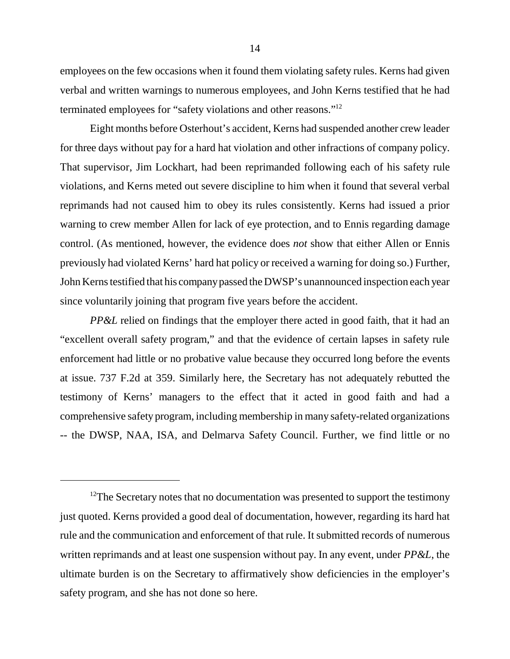employees on the few occasions when it found them violating safety rules. Kerns had given verbal and written warnings to numerous employees, and John Kerns testified that he had terminated employees for "safety violations and other reasons."12

Eight months before Osterhout's accident, Kerns had suspended another crew leader for three days without pay for a hard hat violation and other infractions of company policy. That supervisor, Jim Lockhart, had been reprimanded following each of his safety rule violations, and Kerns meted out severe discipline to him when it found that several verbal reprimands had not caused him to obey its rules consistently. Kerns had issued a prior warning to crew member Allen for lack of eye protection, and to Ennis regarding damage control. (As mentioned, however, the evidence does *not* show that either Allen or Ennis previously had violated Kerns' hard hat policy or received a warning for doing so.) Further, John Kerns testified that his company passed the DWSP's unannounced inspection each year since voluntarily joining that program five years before the accident.

*PP&L* relied on findings that the employer there acted in good faith, that it had an "excellent overall safety program," and that the evidence of certain lapses in safety rule enforcement had little or no probative value because they occurred long before the events at issue. 737 F.2d at 359. Similarly here, the Secretary has not adequately rebutted the testimony of Kerns' managers to the effect that it acted in good faith and had a comprehensive safety program, including membership in many safety-related organizations -- the DWSP, NAA, ISA, and Delmarva Safety Council. Further, we find little or no

<sup>&</sup>lt;sup>12</sup>The Secretary notes that no documentation was presented to support the testimony just quoted. Kerns provided a good deal of documentation, however, regarding its hard hat rule and the communication and enforcement of that rule. It submitted records of numerous written reprimands and at least one suspension without pay. In any event, under *PP&L*, the ultimate burden is on the Secretary to affirmatively show deficiencies in the employer's safety program, and she has not done so here.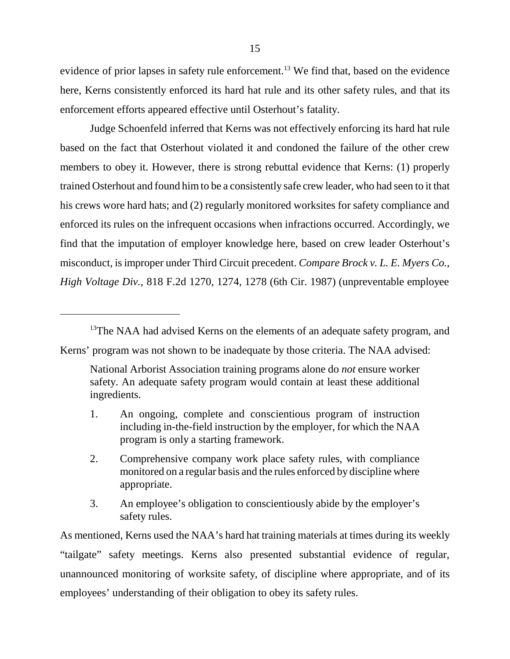evidence of prior lapses in safety rule enforcement.<sup>13</sup> We find that, based on the evidence here, Kerns consistently enforced its hard hat rule and its other safety rules, and that its enforcement efforts appeared effective until Osterhout's fatality.

Judge Schoenfeld inferred that Kerns was not effectively enforcing its hard hat rule based on the fact that Osterhout violated it and condoned the failure of the other crew members to obey it. However, there is strong rebuttal evidence that Kerns: (1) properly trained Osterhout and found him to be a consistently safe crew leader, who had seen to it that his crews wore hard hats; and (2) regularly monitored worksites for safety compliance and enforced its rules on the infrequent occasions when infractions occurred. Accordingly, we find that the imputation of employer knowledge here, based on crew leader Osterhout's misconduct, is improper under Third Circuit precedent. *Compare Brock v. L. E. Myers Co., High Voltage Div.*, 818 F.2d 1270, 1274, 1278 (6th Cir. 1987) (unpreventable employee

<sup>13</sup>The NAA had advised Kerns on the elements of an adequate safety program, and

Kerns' program was not shown to be inadequate by those criteria. The NAA advised:

- 1. An ongoing, complete and conscientious program of instruction including in-the-field instruction by the employer, for which the NAA program is only a starting framework.
- 2. Comprehensive company work place safety rules, with compliance monitored on a regular basis and the rules enforced by discipline where appropriate.
- 3. An employee's obligation to conscientiously abide by the employer's safety rules.

As mentioned, Kerns used the NAA's hard hat training materials at times during its weekly "tailgate" safety meetings. Kerns also presented substantial evidence of regular, unannounced monitoring of worksite safety, of discipline where appropriate, and of its employees' understanding of their obligation to obey its safety rules.

National Arborist Association training programs alone do *not* ensure worker safety. An adequate safety program would contain at least these additional ingredients.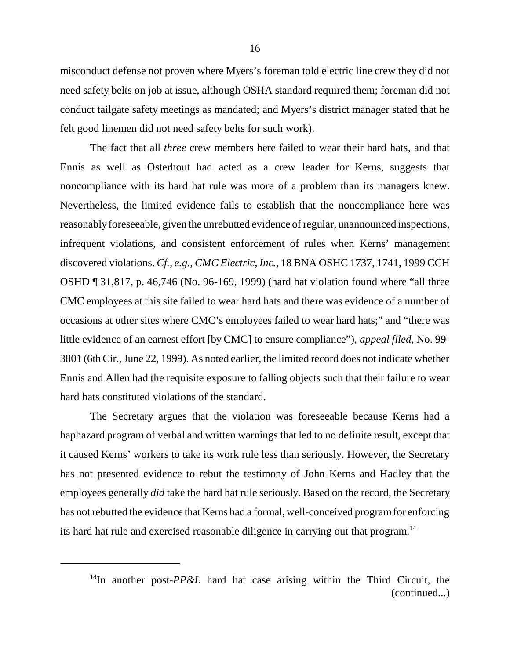misconduct defense not proven where Myers's foreman told electric line crew they did not need safety belts on job at issue, although OSHA standard required them; foreman did not conduct tailgate safety meetings as mandated; and Myers's district manager stated that he felt good linemen did not need safety belts for such work).

The fact that all *three* crew members here failed to wear their hard hats, and that Ennis as well as Osterhout had acted as a crew leader for Kerns, suggests that noncompliance with its hard hat rule was more of a problem than its managers knew. Nevertheless, the limited evidence fails to establish that the noncompliance here was reasonably foreseeable, given the unrebutted evidence of regular, unannounced inspections, infrequent violations, and consistent enforcement of rules when Kerns' management discovered violations. *Cf., e.g., CMC Electric, Inc.*, 18 BNA OSHC 1737, 1741, 1999 CCH OSHD ¶ 31,817, p. 46,746 (No. 96-169, 1999) (hard hat violation found where "all three CMC employees at this site failed to wear hard hats and there was evidence of a number of occasions at other sites where CMC's employees failed to wear hard hats;" and "there was little evidence of an earnest effort [by CMC] to ensure compliance"), *appeal filed*, No. 99- 3801 (6th Cir., June 22, 1999). As noted earlier, the limited record does not indicate whether Ennis and Allen had the requisite exposure to falling objects such that their failure to wear hard hats constituted violations of the standard.

The Secretary argues that the violation was foreseeable because Kerns had a haphazard program of verbal and written warnings that led to no definite result, except that it caused Kerns' workers to take its work rule less than seriously. However, the Secretary has not presented evidence to rebut the testimony of John Kerns and Hadley that the employees generally *did* take the hard hat rule seriously. Based on the record, the Secretary has not rebutted the evidence that Kerns had a formal, well-conceived program for enforcing its hard hat rule and exercised reasonable diligence in carrying out that program.<sup>14</sup>

<sup>&</sup>lt;sup>14</sup>In another post- $PP\&L$  hard hat case arising within the Third Circuit, the (continued...)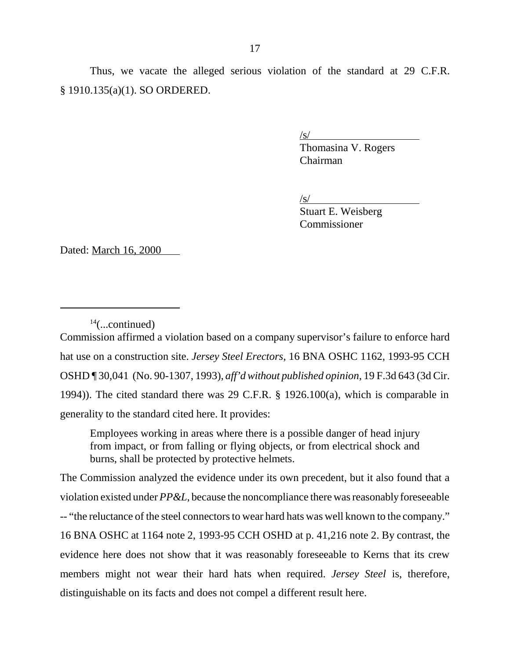$\sqrt{s}$ /

Thomasina V. Rogers Chairman

 $\angle$ s/

Stuart E. Weisberg Commissioner

Dated: March 16, 2000

Commission affirmed a violation based on a company supervisor's failure to enforce hard hat use on a construction site. *Jersey Steel Erectors*, 16 BNA OSHC 1162, 1993-95 CCH OSHD ¶ 30,041 (No. 90-1307, 1993), *aff'd without published opinion*, 19 F.3d 643 (3d Cir. 1994)). The cited standard there was 29 C.F.R. § 1926.100(a), which is comparable in generality to the standard cited here. It provides:

Employees working in areas where there is a possible danger of head injury from impact, or from falling or flying objects, or from electrical shock and burns, shall be protected by protective helmets.

The Commission analyzed the evidence under its own precedent, but it also found that a violation existed under *PP&L*, because the noncompliance there was reasonably foreseeable -- "the reluctance of the steel connectors to wear hard hats was well known to the company." 16 BNA OSHC at 1164 note 2, 1993-95 CCH OSHD at p. 41,216 note 2. By contrast, the evidence here does not show that it was reasonably foreseeable to Kerns that its crew members might not wear their hard hats when required. *Jersey Steel* is, therefore, distinguishable on its facts and does not compel a different result here.

 $14$ (...continued)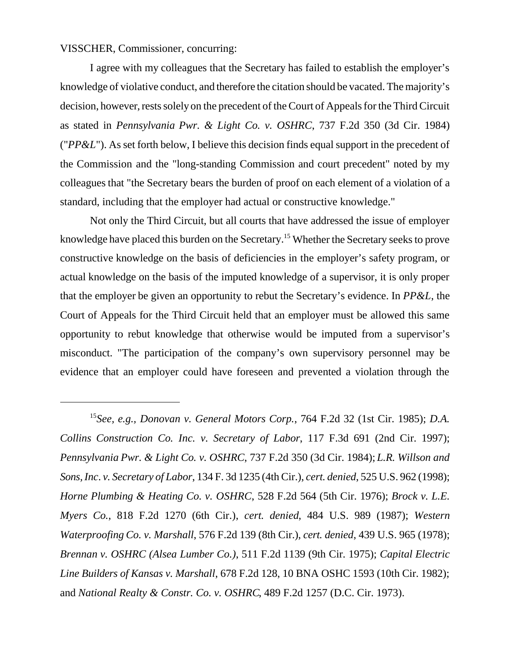VISSCHER, Commissioner, concurring:

I agree with my colleagues that the Secretary has failed to establish the employer's knowledge of violative conduct, and therefore the citation should be vacated. The majority's decision, however, rests solely on the precedent of the Court of Appeals for the Third Circuit as stated in *Pennsylvania Pwr. & Light Co. v. OSHRC*, 737 F.2d 350 (3d Cir. 1984) ("*PP&L*"). As set forth below, I believe this decision finds equal support in the precedent of the Commission and the "long-standing Commission and court precedent" noted by my colleagues that "the Secretary bears the burden of proof on each element of a violation of a standard, including that the employer had actual or constructive knowledge."

Not only the Third Circuit, but all courts that have addressed the issue of employer knowledge have placed this burden on the Secretary.<sup>15</sup> Whether the Secretary seeks to prove constructive knowledge on the basis of deficiencies in the employer's safety program, or actual knowledge on the basis of the imputed knowledge of a supervisor, it is only proper that the employer be given an opportunity to rebut the Secretary's evidence. In *PP&L*, the Court of Appeals for the Third Circuit held that an employer must be allowed this same opportunity to rebut knowledge that otherwise would be imputed from a supervisor's misconduct. "The participation of the company's own supervisory personnel may be evidence that an employer could have foreseen and prevented a violation through the

<sup>15</sup>*See, e.g., Donovan v. General Motors Corp.*, 764 F.2d 32 (1st Cir. 1985); *D.A. Collins Construction Co. Inc. v. Secretary of Labor*, 117 F.3d 691 (2nd Cir. 1997); *Pennsylvania Pwr. & Light Co. v. OSHRC*, 737 F.2d 350 (3d Cir. 1984); *L.R. Willson and Sons, Inc*. *v. Secretary of Labor*, 134 F. 3d 1235 (4th Cir.), *cert. denied*, 525 U.S. 962 (1998); *Horne Plumbing & Heating Co. v. OSHRC*, 528 F.2d 564 (5th Cir. 1976); *Brock v. L.E. Myers Co.*, 818 F.2d 1270 (6th Cir.), *cert. denied*, 484 U.S. 989 (1987); *Western Waterproofing Co. v. Marshall*, 576 F.2d 139 (8th Cir.), *cert. denied*, 439 U.S. 965 (1978); *Brennan v. OSHRC (Alsea Lumber Co.)*, 511 F.2d 1139 (9th Cir. 1975); *Capital Electric Line Builders of Kansas v. Marshall*, 678 F.2d 128, 10 BNA OSHC 1593 (10th Cir. 1982); and *National Realty & Constr. Co. v. OSHRC*, 489 F.2d 1257 (D.C. Cir. 1973).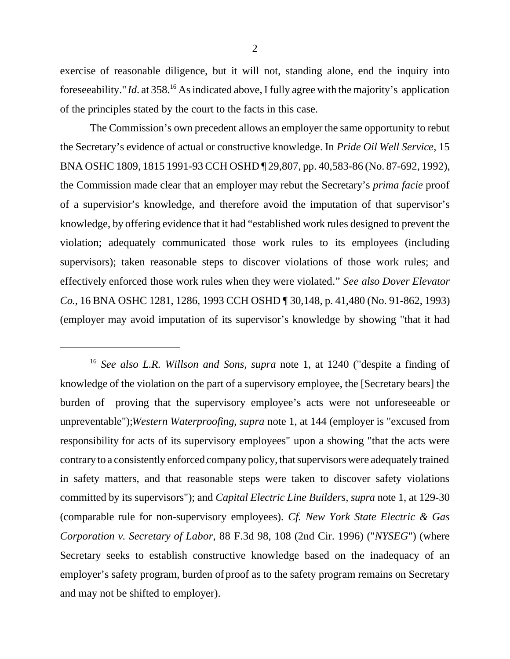exercise of reasonable diligence, but it will not, standing alone, end the inquiry into foreseeability." *Id*. at 358.16 As indicated above, I fully agree with the majority's application of the principles stated by the court to the facts in this case.

The Commission's own precedent allows an employer the same opportunity to rebut the Secretary's evidence of actual or constructive knowledge. In *Pride Oil Well Service*, 15 BNA OSHC 1809, 1815 1991-93 CCH OSHD ¶ 29,807, pp. 40,583-86 (No. 87-692, 1992), the Commission made clear that an employer may rebut the Secretary's *prima facie* proof of a supervisior's knowledge, and therefore avoid the imputation of that supervisor's knowledge, by offering evidence that it had "established work rules designed to prevent the violation; adequately communicated those work rules to its employees (including supervisors); taken reasonable steps to discover violations of those work rules; and effectively enforced those work rules when they were violated." *See also Dover Elevator Co.*, 16 BNA OSHC 1281, 1286, 1993 CCH OSHD ¶ 30,148, p. 41,480 (No. 91-862, 1993) (employer may avoid imputation of its supervisor's knowledge by showing "that it had

<sup>16</sup> *See also L.R. Willson and Sons, supra* note 1, at 1240 ("despite a finding of knowledge of the violation on the part of a supervisory employee, the [Secretary bears] the burden of proving that the supervisory employee's acts were not unforeseeable or unpreventable");*Western Waterproofing*, *supra* note 1, at 144 (employer is "excused from responsibility for acts of its supervisory employees" upon a showing "that the acts were contrary to a consistently enforced company policy, that supervisors were adequately trained in safety matters, and that reasonable steps were taken to discover safety violations committed by its supervisors"); and *Capital Electric Line Builders, supra* note 1, at 129-30 (comparable rule for non-supervisory employees). *Cf. New York State Electric & Gas Corporation v. Secretary of Labor*, 88 F.3d 98, 108 (2nd Cir. 1996) ("*NYSEG*") (where Secretary seeks to establish constructive knowledge based on the inadequacy of an employer's safety program, burden of proof as to the safety program remains on Secretary and may not be shifted to employer).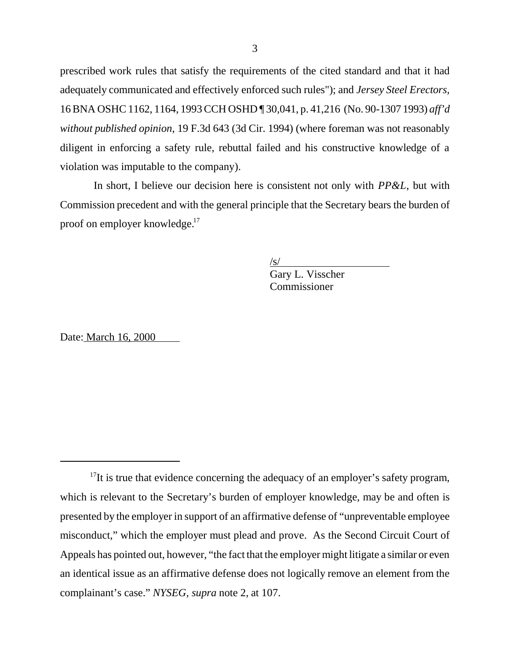prescribed work rules that satisfy the requirements of the cited standard and that it had adequately communicated and effectively enforced such rules"); and *Jersey Steel Erectors,* 16 BNA OSHC 1162, 1164, 1993 CCH OSHD ¶ 30,041, p. 41,216 (No. 90-1307 1993) *aff'd without published opinion*, 19 F.3d 643 (3d Cir. 1994) (where foreman was not reasonably diligent in enforcing a safety rule, rebuttal failed and his constructive knowledge of a violation was imputable to the company).

 In short, I believe our decision here is consistent not only with *PP&L*, but with Commission precedent and with the general principle that the Secretary bears the burden of proof on employer knowledge.<sup>17</sup>

> $\sqrt{s/}$ Gary L. Visscher Commissioner

Date: March 16, 2000

 $17$ It is true that evidence concerning the adequacy of an employer's safety program, which is relevant to the Secretary's burden of employer knowledge, may be and often is presented by the employer in support of an affirmative defense of "unpreventable employee misconduct," which the employer must plead and prove. As the Second Circuit Court of Appeals has pointed out, however, "the fact that the employer might litigate a similar or even an identical issue as an affirmative defense does not logically remove an element from the complainant's case." *NYSEG, supra* note 2, at 107.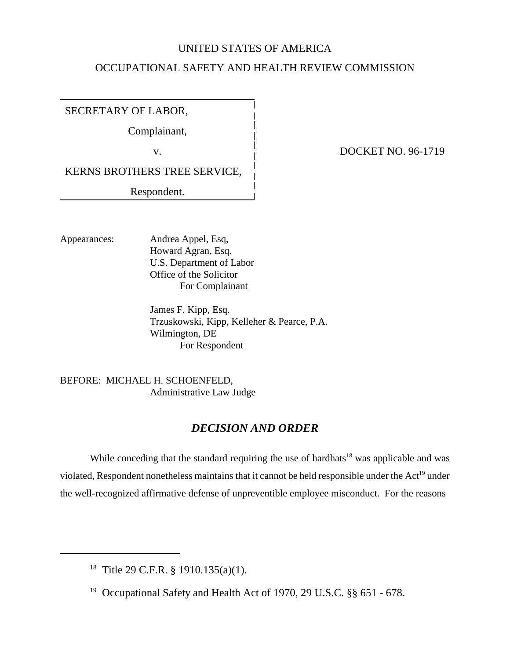### UNITED STATES OF AMERICA

# OCCUPATIONAL SAFETY AND HEALTH REVIEW COMMISSION

SECRETARY OF LABOR,

Complainant,

KERNS BROTHERS TREE SERVICE,

Respondent.

v. **DOCKET NO. 96-1719** 

Appearances: Andrea Appel, Esq, Howard Agran, Esq. U.S. Department of Labor Office of the Solicitor For Complainant

> James F. Kipp, Esq. Trzuskowski, Kipp, Kelleher & Pearce, P.A. Wilmington, DE For Respondent

BEFORE: MICHAEL H. SCHOENFELD, Administrative Law Judge

# *DECISION AND ORDER*

While conceding that the standard requiring the use of hardhats<sup>18</sup> was applicable and was violated, Respondent nonetheless maintains that it cannot be held responsible under the Act<sup>19</sup> under the well-recognized affirmative defense of unpreventible employee misconduct. For the reasons

<sup>18</sup> Title 29 C.F.R. § 1910.135(a)(1).

19 Occupational Safety and Health Act of 1970, 29 U.S.C. §§ 651 - 678.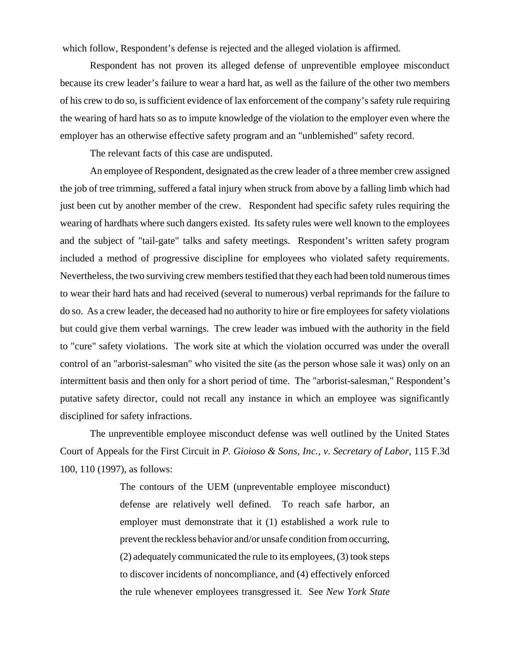which follow, Respondent's defense is rejected and the alleged violation is affirmed.

Respondent has not proven its alleged defense of unpreventible employee misconduct because its crew leader's failure to wear a hard hat, as well as the failure of the other two members of his crew to do so, is sufficient evidence of lax enforcement of the company's safety rule requiring the wearing of hard hats so as to impute knowledge of the violation to the employer even where the employer has an otherwise effective safety program and an "unblemished" safety record.

The relevant facts of this case are undisputed.

An employee of Respondent, designated as the crew leader of a three member crew assigned the job of tree trimming, suffered a fatal injury when struck from above by a falling limb which had just been cut by another member of the crew. Respondent had specific safety rules requiring the wearing of hardhats where such dangers existed. Its safety rules were well known to the employees and the subject of "tail-gate" talks and safety meetings. Respondent's written safety program included a method of progressive discipline for employees who violated safety requirements. Nevertheless, the two surviving crew members testified that they each had been told numerous times to wear their hard hats and had received (several to numerous) verbal reprimands for the failure to do so. As a crew leader, the deceased had no authority to hire or fire employees for safety violations but could give them verbal warnings. The crew leader was imbued with the authority in the field to "cure" safety violations. The work site at which the violation occurred was under the overall control of an "arborist-salesman" who visited the site (as the person whose sale it was) only on an intermittent basis and then only for a short period of time. The "arborist-salesman," Respondent's putative safety director, could not recall any instance in which an employee was significantly disciplined for safety infractions.

The unpreventible employee misconduct defense was well outlined by the United States Court of Appeals for the First Circuit in *P. Gioioso & Sons, Inc., v. Secretary of Labor*, 115 F.3d 100, 110 (1997), as follows:

> The contours of the UEM (unpreventable employee misconduct) defense are relatively well defined. To reach safe harbor, an employer must demonstrate that it (1) established a work rule to prevent the reckless behavior and/or unsafe condition from occurring, (2) adequately communicated the rule to its employees, (3) took steps to discover incidents of noncompliance, and (4) effectively enforced the rule whenever employees transgressed it. See *New York State*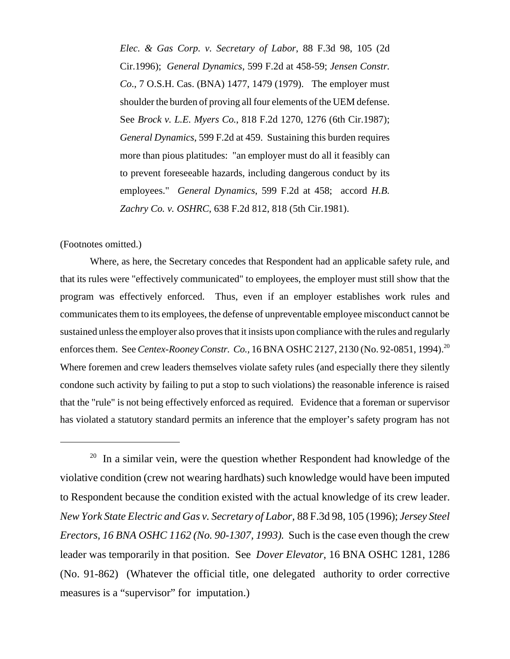*Elec. & Gas Corp. v. Secretary of Labor*, 88 F.3d 98, 105 (2d Cir.1996); *General Dynamics*, 599 F.2d at 458-59; *Jensen Constr. Co*., 7 O.S.H. Cas. (BNA) 1477, 1479 (1979). The employer must shoulder the burden of proving all four elements of the UEM defense. See *Brock v. L.E. Myers Co.*, 818 F.2d 1270, 1276 (6th Cir.1987); *General Dynamics*, 599 F.2d at 459. Sustaining this burden requires more than pious platitudes: "an employer must do all it feasibly can to prevent foreseeable hazards, including dangerous conduct by its employees." *General Dynamics*, 599 F.2d at 458; accord *H.B. Zachry Co. v. OSHRC*, 638 F.2d 812, 818 (5th Cir.1981).

#### (Footnotes omitted.)

Where, as here, the Secretary concedes that Respondent had an applicable safety rule, and that its rules were "effectively communicated" to employees, the employer must still show that the program was effectively enforced. Thus, even if an employer establishes work rules and communicates them to its employees, the defense of unpreventable employee misconduct cannot be sustained unless the employer also proves that it insists upon compliance with the rules and regularly enforces them. See *Centex-Rooney Constr. Co.*, 16 BNA OSHC 2127, 2130 (No. 92-0851, 1994).<sup>20</sup> Where foremen and crew leaders themselves violate safety rules (and especially there they silently condone such activity by failing to put a stop to such violations) the reasonable inference is raised that the "rule" is not being effectively enforced as required. Evidence that a foreman or supervisor has violated a statutory standard permits an inference that the employer's safety program has not

<sup>20</sup> In a similar vein, were the question whether Respondent had knowledge of the violative condition (crew not wearing hardhats) such knowledge would have been imputed to Respondent because the condition existed with the actual knowledge of its crew leader. *New York State Electric and Gas v. Secretary of Labor,* 88 F.3d 98, 105 (1996); *Jersey Steel Erectors, 16 BNA OSHC 1162 (No. 90-1307, 1993).* Such is the case even though the crew leader was temporarily in that position. See *Dover Elevator*, 16 BNA OSHC 1281, 1286 (No. 91-862) (Whatever the official title, one delegated authority to order corrective measures is a "supervisor" for imputation.)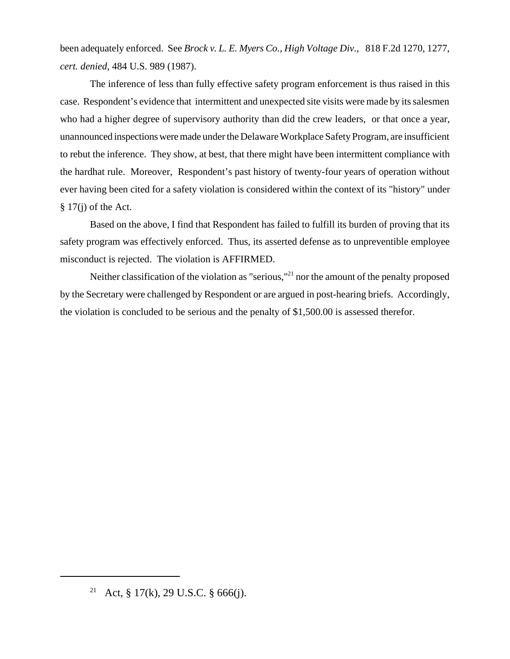been adequately enforced. See *Brock v. L. E. Myers Co., High Voltage Div.,* 818 F.2d 1270, 1277, *cert. denied*, 484 U.S. 989 (1987).

The inference of less than fully effective safety program enforcement is thus raised in this case. Respondent's evidence that intermittent and unexpected site visits were made by its salesmen who had a higher degree of supervisory authority than did the crew leaders, or that once a year, unannounced inspections were made under the Delaware Workplace Safety Program, are insufficient to rebut the inference. They show, at best, that there might have been intermittent compliance with the hardhat rule. Moreover, Respondent's past history of twenty-four years of operation without ever having been cited for a safety violation is considered within the context of its "history" under  $§ 17(i)$  of the Act.

Based on the above, I find that Respondent has failed to fulfill its burden of proving that its safety program was effectively enforced. Thus, its asserted defense as to unpreventible employee misconduct is rejected. The violation is AFFIRMED.

Neither classification of the violation as "serious,"<sup>21</sup> nor the amount of the penalty proposed by the Secretary were challenged by Respondent or are argued in post-hearing briefs. Accordingly, the violation is concluded to be serious and the penalty of \$1,500.00 is assessed therefor.

<sup>&</sup>lt;sup>21</sup> Act, § 17(k), 29 U.S.C. § 666(j).